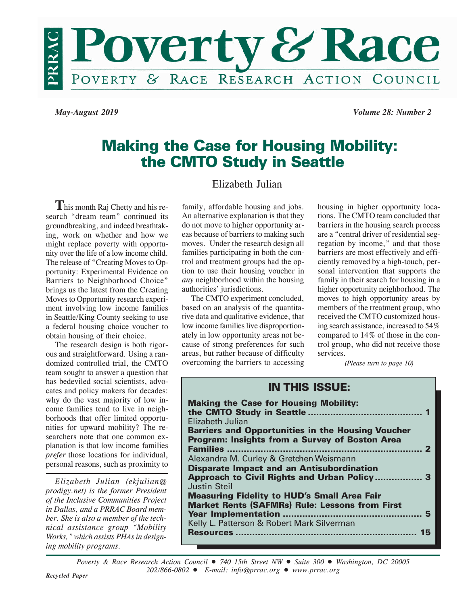

 *May-August 2019 Volume 28: Number 2*

## **Making the Case for Housing Mobility: the CMTO Study in Seattle**

## Elizabeth Julian

**T**his month Raj Chetty and his research "dream team" continued its groundbreaking, and indeed breathtaking, work on whether and how we might replace poverty with opportunity over the life of a low income child. The release of "Creating Moves to Opportunity: Experimental Evidence on Barriers to Neighborhood Choice" brings us the latest from the Creating Moves to Opportunity research experiment involving low income families in Seattle/King County seeking to use a federal housing choice voucher to obtain housing of their choice.

The research design is both rigorous and straightforward. Using a randomized controlled trial, the CMTO team sought to answer a question that has bedeviled social scientists, advocates and policy makers for decades: why do the vast majority of low income families tend to live in neighborhoods that offer limited opportunities for upward mobility? The researchers note that one common explanation is that low income families *prefer* those locations for individual, personal reasons, such as proximity to

*Elizabeth Julian (ekjulian@ prodigy.net) is the former President of the Inclusive Communities Project in Dallas, and a PRRAC Board member. She is also a member of the technical assistance group "Mobility Works," which assists PHAs in designing mobility programs.*

family, affordable housing and jobs. An alternative explanation is that they do not move to higher opportunity areas because of barriers to making such moves. Under the research design all families participating in both the control and treatment groups had the option to use their housing voucher in *any* neighborhood within the housing authorities' jurisdictions.

The CMTO experiment concluded, based on an analysis of the quantitative data and qualitative evidence, that low income families live disproportionately in low opportunity areas not because of strong preferences for such areas, but rather because of difficulty overcoming the barriers to accessing

housing in higher opportunity locations. The CMTO team concluded that barriers in the housing search process are a "central driver of residential segregation by income," and that those barriers are most effectively and efficiently removed by a high-touch, personal intervention that supports the family in their search for housing in a higher opportunity neighborhood. The moves to high opportunity areas by members of the treatment group, who received the CMTO customized housing search assistance, increased to 54% compared to 14% of those in the control group, who did not receive those services.

*(Please turn to page 10)*

# **IN THIS ISSUE:**

| <b>Making the Case for Housing Mobility:</b>                       |
|--------------------------------------------------------------------|
|                                                                    |
| <b>Elizabeth Julian</b>                                            |
| <b>Barriers and Opportunities in the Housing Voucher</b>           |
| <b>Program: Insights from a Survey of Boston Area</b>              |
| <b>Families</b>                                                    |
| Alexandra M. Curley & Gretchen Weismann                            |
| <b>Disparate Impact and an Antisubordination</b>                   |
| Approach to Civil Rights and Urban Policy 3<br><b>Justin Steil</b> |
| <b>Measuring Fidelity to HUD's Small Area Fair</b>                 |
| <b>Market Rents (SAFMRs) Rule: Lessons from First</b>              |
| ь                                                                  |
| Kelly L. Patterson & Robert Mark Silverman                         |
|                                                                    |
|                                                                    |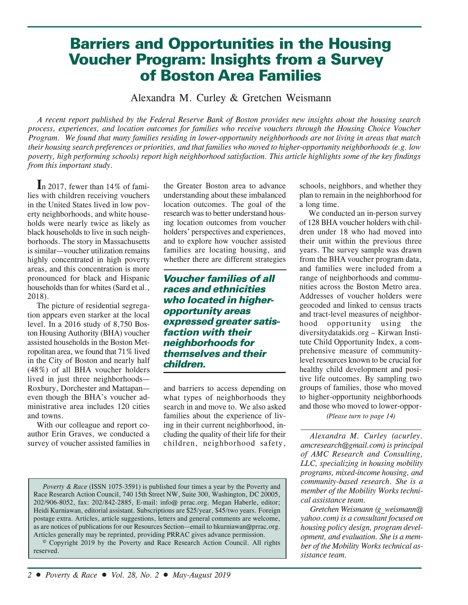## **Barriers and Opportunities in the Housing Voucher Program: Insights from a Survey of Boston Area Families**

Alexandra M. Curley & Gretchen Weismann

*A recent report published by the Federal Reserve Bank of Boston provides new insights about the housing search process, experiences, and location outcomes for families who receive vouchers through the Housing Choice Voucher Program. We found that many families residing in lower-opportunity neighborhoods are not living in areas that match their housing search preferences or priorities, and that families who moved to higher-opportunity neighborhoods (e.g. low poverty, high performing schools) report high neighborhood satisfaction. This article highlights some of the key findings from this important study.*

**I**n 2017, fewer than 14% of families with children receiving vouchers in the United States lived in low poverty neighborhoods, and white households were nearly twice as likely as black households to live in such neighborhoods. The story in Massachusetts is similar—voucher utilization remains highly concentrated in high poverty areas, and this concentration is more pronounced for black and Hispanic households than for whites (Sard et al., 2018).

The picture of residential segregation appears even starker at the local level. In a 2016 study of 8,750 Boston Housing Authority (BHA) voucher assisted households in the Boston Metropolitan area, we found that 71% lived in the City of Boston and nearly half (48%) of all BHA voucher holders lived in just three neighborhoods— Roxbury, Dorchester and Mattapan even though the BHA's voucher administrative area includes 120 cities and towns.

With our colleague and report coauthor Erin Graves, we conducted a survey of voucher assisted families in the Greater Boston area to advance understanding about these imbalanced location outcomes. The goal of the research was to better understand housing location outcomes from voucher holders' perspectives and experiences, and to explore how voucher assisted families are locating housing, and whether there are different strategies

**Voucher families of all races and ethnicities who located in higheropportunity areas expressed greater satisfaction with their neighborhoods for themselves and their children.**

and barriers to access depending on what types of neighborhoods they search in and move to. We also asked families about the experience of living in their current neighborhood, including the quality of their life for their children, neighborhood safety,

© Copyright 2019 by the Poverty and Race Research Action Council. All rights reserved.

schools, neighbors, and whether they plan to remain in the neighborhood for a long time.

We conducted an in-person survey of 128 BHA voucher holders with children under 18 who had moved into their unit within the previous three years. The survey sample was drawn from the BHA voucher program data, and families were included from a range of neighborhoods and communities across the Boston Metro area. Addresses of voucher holders were geocoded and linked to census tracts and tract-level measures of neighborhood opportunity using the diversitydatakids.org – Kirwan Institute Child Opportunity Index, a comprehensive measure of communitylevel resources known to be crucial for healthy child development and positive life outcomes. By sampling two groups of families, those who moved to higher-opportunity neighborhoods and those who moved to lower-oppor-

*(Please turn to page 14)*

*Alexandra M. Curley (acurley. amcresearch@gmail.com) is principal of AMC Research and Consulting, LLC, specializing in housing mobility programs, mixed-income housing, and community-based research. She is a member of the Mobility Works technical assistance team.*

*Gretchen Weismann (g\_weismann@ yahoo.com) is a consultant focused on housing policy design, program development, and evaluation. She is a member of the Mobility Works technical assistance team.*

*Poverty & Race* (ISSN 1075-3591) is published four times a year by the Poverty and Race Research Action Council, 740 15th Street NW, Suite 300, Washington, DC 20005, 202/906-8052, fax: 202/842-2885, E-mail: info@ prrac.org. Megan Haberle, editor; Heidi Kurniawan, editorial assistant. Subscriptions are \$25/year, \$45/two years. Foreign postage extra. Articles, article suggestions, letters and general comments are welcome, as are notices of publications for our Resources Section—email to hkurniawan@prrac.org. Articles generally may be reprinted, providing PRRAC gives advance permission.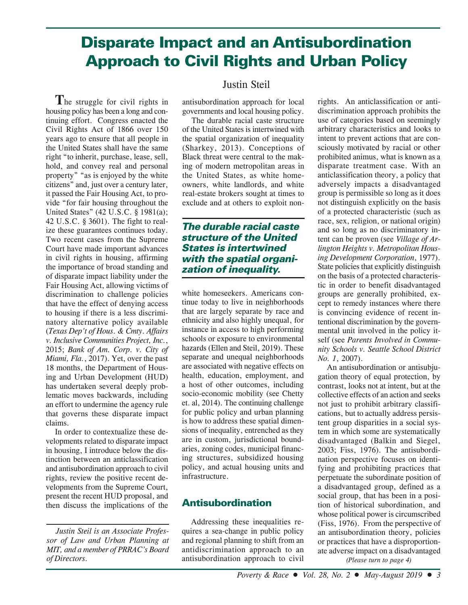## **Disparate Impact and an Antisubordination Approach to Civil Rights and Urban Policy**

**T**he struggle for civil rights in housing policy has been a long and continuing effort. Congress enacted the Civil Rights Act of 1866 over 150 years ago to ensure that all people in the United States shall have the same right "to inherit, purchase, lease, sell, hold, and convey real and personal property" "as is enjoyed by the white citizens" and, just over a century later, it passed the Fair Housing Act, to provide "for fair housing throughout the United States" (42 U.S.C. § 1981(a); 42 U.S.C. § 3601). The fight to realize these guarantees continues today. Two recent cases from the Supreme Court have made important advances in civil rights in housing, affirming the importance of broad standing and of disparate impact liability under the Fair Housing Act, allowing victims of discrimination to challenge policies that have the effect of denying access to housing if there is a less discriminatory alternative policy available (*Texas Dep't of Hous. & Cmty. Affairs v. Inclusive Communities Project, Inc.*, 2015; *Bank of Am. Corp. v. City of Miami, Fla.*, 2017). Yet, over the past 18 months, the Department of Housing and Urban Development (HUD) has undertaken several deeply problematic moves backwards, including an effort to undermine the agency rule that governs these disparate impact claims.

In order to contextualize these developments related to disparate impact in housing, I introduce below the distinction between an anticlassification and antisubordination approach to civil rights, review the positive recent developments from the Supreme Court, present the recent HUD proposal, and then discuss the implications of the

## Justin Steil

antisubordination approach for local governments and local housing policy.

The durable racial caste structure of the United States is intertwined with the spatial organization of inequality (Sharkey, 2013). Conceptions of Black threat were central to the making of modern metropolitan areas in the United States, as white homeowners, white landlords, and white real-estate brokers sought at times to exclude and at others to exploit non-

#### **The durable racial caste structure of the United States is intertwined with the spatial organization of inequality.**

white homeseekers. Americans continue today to live in neighborhoods that are largely separate by race and ethnicity and also highly unequal, for instance in access to high performing schools or exposure to environmental hazards (Ellen and Steil, 2019). These separate and unequal neighborhoods are associated with negative effects on health, education, employment, and a host of other outcomes, including socio-economic mobility (see Chetty et. al, 2014). The continuing challenge for public policy and urban planning is how to address these spatial dimensions of inequality, entrenched as they are in custom, jurisdictional boundaries, zoning codes, municipal financing structures, subsidized housing policy, and actual housing units and infrastructure.

#### **Antisubordination**

Addressing these inequalities requires a sea-change in public policy and regional planning to shift from an antidiscrimination approach to an antisubordination approach to civil

rights. An anticlassification or antidiscrimination approach prohibits the use of categories based on seemingly arbitrary characteristics and looks to intent to prevent actions that are consciously motivated by racial or other prohibited animus, what is known as a disparate treatment case. With an anticlassification theory, a policy that adversely impacts a disadvantaged group is permissible so long as it does not distinguish explicitly on the basis of a protected characteristic (such as race, sex, religion, or national origin) and so long as no discriminatory intent can be proven (see *Village of Arlington Heights v. Metropolitan Housing Development Corporation*, 1977). State policies that explicitly distinguish on the basis of a protected characteristic in order to benefit disadvantaged groups are generally prohibited, except to remedy instances where there is convincing evidence of recent intentional discrimination by the governmental unit involved in the policy itself (see *Parents Involved in Community Schools v. Seattle School District No. 1*, 2007).

*(Please turn to page 4)* An antisubordination or antisubjugation theory of equal protection, by contrast, looks not at intent, but at the collective effects of an action and seeks not just to prohibit arbitrary classifications, but to actually address persistent group disparities in a social system in which some are systematically disadvantaged (Balkin and Siegel, 2003; Fiss, 1976). The antisubordination perspective focuses on identifying and prohibiting practices that perpetuate the subordinate position of a disadvantaged group, defined as a social group, that has been in a position of historical subordination, and whose political power is circumscribed (Fiss, 1976). From the perspective of an antisubordination theory, policies or practices that have a disproportionate adverse impact on a disadvantaged

*Justin Steil is an Associate Professor of Law and Urban Planning at MIT, and a member of PRRAC's Board of Directors.*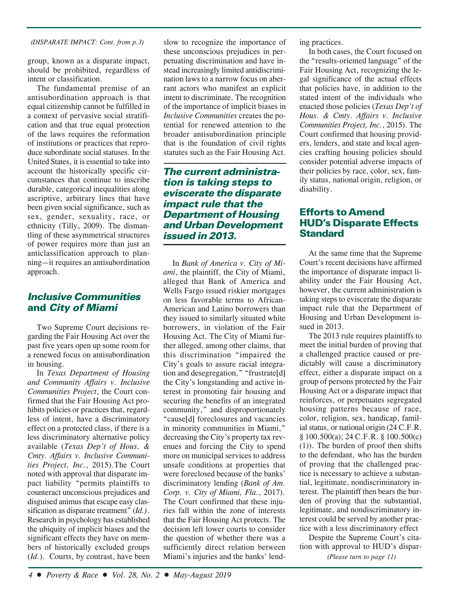#### *(DISPARATE IMPACT: Cont. from p.3)*

group, known as a disparate impact, should be prohibited, regardless of intent or classification.

The fundamental premise of an antisubordination approach is that equal citizenship cannot be fulfilled in a context of pervasive social stratification and that true equal protection of the laws requires the reformation of institutions or practices that reproduce subordinate social statuses. In the United States, it is essential to take into account the historically specific circumstances that continue to inscribe durable, categorical inequalities along ascriptive, arbitrary lines that have been given social significance, such as sex, gender, sexuality, race, or ethnicity (Tilly, 2009). The dismantling of these asymmetrical structures of power requires more than just an anticlassification approach to planning—it requires an antisubordination approach.

## **Inclusive Communities and City of Miami**

Two Supreme Court decisions regarding the Fair Housing Act over the past five years open up some room for a renewed focus on antisubordination in housing.

In *Texas Department of Housing and Community Affairs v. Inclusive Communities Project*, the Court confirmed that the Fair Housing Act prohibits policies or practices that, regardless of intent, have a discriminatory effect on a protected class, if there is a less discriminatory alternative policy available (*Texas Dep't of Hous. & Cmty. Affairs v. Inclusive Communities Project, Inc.*, 2015).The Court noted with approval that disparate impact liability "permits plaintiffs to counteract unconscious prejudices and disguised animus that escape easy classification as disparate treatment" (*Id.)*. Research in psychology has established the ubiquity of implicit biases and the significant effects they have on members of historically excluded groups (*Id.*). Courts, by contrast, have been

slow to recognize the importance of these unconscious prejudices in perpetuating discrimination and have instead increasingly limited antidiscrimination laws to a narrow focus on aberrant actors who manifest an explicit intent to discriminate. The recognition of the importance of implicit biases in *Inclusive Communities* creates the potential for renewed attention to the broader antisubordination principle that is the foundation of civil rights statutes such as the Fair Housing Act.

### **The current administration is taking steps to eviscerate the disparate impact rule that the Department of Housing and Urban Development issued in 2013.**

In *Bank of America v. City of Miami*, the plaintiff, the City of Miami, alleged that Bank of America and Wells Fargo issued riskier mortgages on less favorable terms to African-American and Latino borrowers than they issued to similarly situated white borrowers, in violation of the Fair Housing Act. The City of Miami further alleged, among other claims, that this discrimination "impaired the City's goals to assure racial integration and desegregation," "frustrate[d] the City's longstanding and active interest in promoting fair housing and securing the benefits of an integrated community," and disproportionately "cause[d] foreclosures and vacancies in minority communities in Miami," decreasing the City's property tax revenues and forcing the City to spend more on municipal services to address unsafe conditions at properties that were foreclosed because of the banks' discriminatory lending (*Bank of Am. Corp. v. City of Miami, Fla.*, 2017). The Court confirmed that these injuries fall within the zone of interests that the Fair Housing Act protects. The decision left lower courts to consider the question of whether there was a sufficiently direct relation between Miami's injuries and the banks' lending practices.

In both cases, the Court focused on the "results-oriented language" of the Fair Housing Act, recognizing the legal significance of the actual effects that policies have, in addition to the stated intent of the individuals who enacted those policies (*Texas Dep't of Hous. & Cmty. Affairs v. Inclusive Communities Project, Inc.*, 2015). The Court confirmed that housing providers, lenders, and state and local agencies crafting housing policies should consider potential adverse impacts of their policies by race, color, sex, family status, national origin, religion, or disability.

## **Efforts to Amend HUD's Disparate Effects Standard**

At the same time that the Supreme Court's recent decisions have affirmed the importance of disparate impact liability under the Fair Housing Act, however, the current administration is taking steps to eviscerate the disparate impact rule that the Department of Housing and Urban Development issued in 2013.

The 2013 rule requires plaintiffs to meet the initial burden of proving that a challenged practice caused or predictably will cause a discriminatory effect, either a disparate impact on a group of persons protected by the Fair Housing Act or a disparate impact that reinforces, or perpetuates segregated housing patterns because of race, color, religion, sex, handicap, familial status, or national origin (24 C.F.R. § 100.500(a); 24 C.F.R. § 100.500(c) (1)). The burden of proof then shifts to the defendant, who has the burden of proving that the challenged practice is necessary to achieve a substantial, legitimate, nondiscriminatory interest. The plaintiff then bears the burden of proving that the substantial, legitimate, and nondiscriminatory interest could be served by another practice with a less discriminatory effect

Despite the Supreme Court's citation with approval to HUD's dispar-

*(Please turn to page 11)*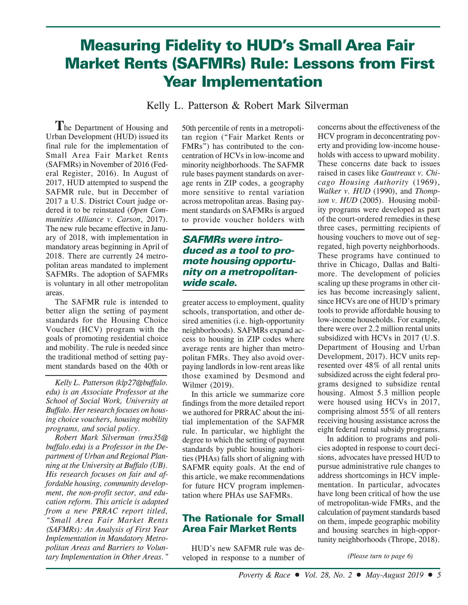## **Measuring Fidelity to HUD's Small Area Fair Market Rents (SAFMRs) Rule: Lessons from First Year Implementation**

Kelly L. Patterson & Robert Mark Silverman

**T**he Department of Housing and Urban Development (HUD) issued its final rule for the implementation of Small Area Fair Market Rents (SAFMRs) in November of 2016 (Federal Register, 2016). In August of 2017, HUD attempted to suspend the SAFMR rule, but in December of 2017 a U.S. District Court judge ordered it to be reinstated (*Open Communities Alliance v. Carson*, 2017). The new rule became effective in January of 2018, with implementation in mandatory areas beginning in April of 2018. There are currently 24 metropolitan areas mandated to implement SAFMRs. The adoption of SAFMRs is voluntary in all other metropolitan areas.

The SAFMR rule is intended to better align the setting of payment standards for the Housing Choice Voucher (HCV) program with the goals of promoting residential choice and mobility. The rule is needed since the traditional method of setting payment standards based on the 40th or

*Kelly L. Patterson (klp27@buffalo. edu) is an Associate Professor at the School of Social Work, University at Buffalo. Her research focuses on housing choice vouchers, housing mobility programs, and social policy.*

*Robert Mark Silverman (rms35@ buffalo.edu) is a Professor in the Department of Urban and Regional Planning at the University at Buffalo (UB). His research focuses on fair and affordable housing, community development, the non-profit sector, and education reform. This article is adapted from a new PRRAC report titled, "Small Area Fair Market Rents (SAFMRs): An Analysis of First Year Implementation in Mandatory Metropolitan Areas and Barriers to Voluntary Implementation in Other Areas."*

50th percentile of rents in a metropolitan region ("Fair Market Rents or FMRs") has contributed to the concentration of HCVs in low-income and minority neighborhoods. The SAFMR rule bases payment standards on average rents in ZIP codes, a geography more sensitive to rental variation across metropolitan areas. Basing payment standards on SAFMRs is argued to provide voucher holders with

#### **SAFMRs were introduced as a tool to promote housing opportunity on a metropolitanwide scale.**

greater access to employment, quality schools, transportation, and other desired amenities (i.e. high-opportunity neighborhoods). SAFMRs expand access to housing in ZIP codes where average rents are higher than metropolitan FMRs. They also avoid overpaying landlords in low-rent areas like those examined by Desmond and Wilmer (2019).

In this article we summarize core findings from the more detailed report we authored for PRRAC about the initial implementation of the SAFMR rule. In particular, we highlight the degree to which the setting of payment standards by public housing authorities (PHAs) falls short of aligning with SAFMR equity goals. At the end of this article, we make recommendations for future HCV program implementation where PHAs use SAFMRs.

### **The Rationale for Small Area Fair Market Rents**

HUD's new SAFMR rule was developed in response to a number of concerns about the effectiveness of the HCV program in deconcentrating poverty and providing low-income households with access to upward mobility. These concerns date back to issues raised in cases like *Gautreaux v. Chicago Housing Authority* (1969), *Walker v. HUD* (1990), and *Thompson v. HUD* (2005). Housing mobility programs were developed as part of the court-ordered remedies in these three cases, permitting recipients of housing vouchers to move out of segregated, high poverty neighborhoods. These programs have continued to thrive in Chicago, Dallas and Baltimore. The development of policies scaling up these programs in other cities has become increasingly salient, since HCVs are one of HUD's primary tools to provide affordable housing to low-income households. For example, there were over 2.2 million rental units subsidized with HCVs in 2017 (U.S. Department of Housing and Urban Development, 2017). HCV units represented over 48% of all rental units subsidized across the eight federal programs designed to subsidize rental housing. Almost 5.3 million people were housed using HCVs in 2017, comprising almost 55% of all renters receiving housing assistance across the eight federal rental subsidy programs.

In addition to programs and policies adopted in response to court decisions, advocates have pressed HUD to pursue administrative rule changes to address shortcomings in HCV implementation. In particular, advocates have long been critical of how the use of metropolitan-wide FMRs, and the calculation of payment standards based on them, impede geographic mobility and housing searches in high-opportunity neighborhoods (Thrope, 2018).

*(Please turn to page 6)*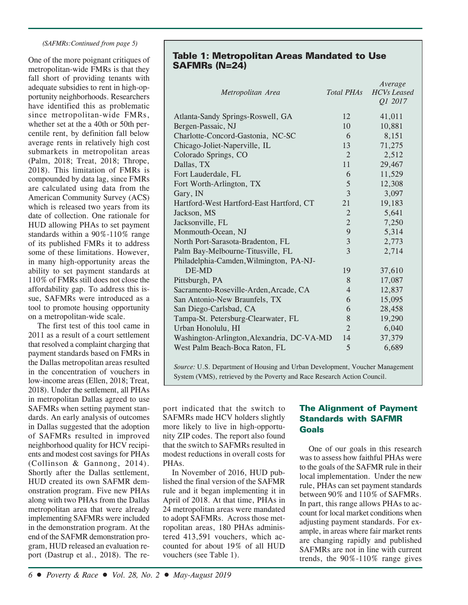#### *(SAFMRs:Continued from page 5)*

One of the more poignant critiques of metropolitan-wide FMRs is that they fall short of providing tenants with adequate subsidies to rent in high-opportunity neighborhoods. Researchers have identified this as problematic since metropolitan-wide FMRs, whether set at the a 40th or 50th percentile rent, by definition fall below average rents in relatively high cost submarkets in metropolitan areas (Palm, 2018; Treat, 2018; Thrope, 2018). This limitation of FMRs is compounded by data lag, since FMRs are calculated using data from the American Community Survey (ACS) which is released two years from its date of collection. One rationale for HUD allowing PHAs to set payment standards within a 90%-110% range of its published FMRs it to address some of these limitations. However, in many high-opportunity areas the ability to set payment standards at 110% of FMRs still does not close the affordability gap. To address this issue, SAFMRs were introduced as a tool to promote housing opportunity on a metropolitan-wide scale.

The first test of this tool came in 2011 as a result of a court settlement that resolved a complaint charging that payment standards based on FMRs in the Dallas metropolitan areas resulted in the concentration of vouchers in low-income areas (Ellen, 2018; Treat, 2018). Under the settlement, all PHAs in metropolitan Dallas agreed to use SAFMRs when setting payment standards. An early analysis of outcomes in Dallas suggested that the adoption of SAFMRs resulted in improved neighborhood quality for HCV recipients and modest cost savings for PHAs (Collinson & Gannong, 2014). Shortly after the Dallas settlement, HUD created its own SAFMR demonstration program. Five new PHAs along with two PHAs from the Dallas metropolitan area that were already implementing SAFMRs were included in the demonstration program. At the end of the SAFMR demonstration program, HUD released an evaluation report (Dastrup et al., 2018). The re-

### **Table 1: Metropolitan Areas Mandated to Use SAFMRs (N=24)**

| Metropolitan Area                          | Total PHAs     | Average<br><b>HCVs</b> Leased<br>Q1 2017 |
|--------------------------------------------|----------------|------------------------------------------|
| Atlanta-Sandy Springs-Roswell, GA          | 12             | 41,011                                   |
| Bergen-Passaic, NJ                         | 10             | 10,881                                   |
| Charlotte-Concord-Gastonia, NC-SC          | 6              | 8,151                                    |
| Chicago-Joliet-Naperville, IL              | 13             | 71,275                                   |
| Colorado Springs, CO                       | $\overline{2}$ | 2,512                                    |
| Dallas, TX                                 | 11             | 29,467                                   |
| Fort Lauderdale, FL                        | 6              | 11,529                                   |
| Fort Worth-Arlington, TX                   | 5              | 12,308                                   |
| Gary, IN                                   | 3              | 3,097                                    |
| Hartford-West Hartford-East Hartford, CT   | 21             | 19,183                                   |
| Jackson, MS                                | $\overline{2}$ | 5,641                                    |
| Jacksonville, FL                           | $\overline{2}$ | 7,250                                    |
| Monmouth-Ocean, NJ                         | 9              | 5,314                                    |
| North Port-Sarasota-Bradenton, FL          | $\overline{3}$ | 2,773                                    |
| Palm Bay-Melbourne-Titusville, FL          | 3              | 2,714                                    |
| Philadelphia-Camden, Wilmington, PA-NJ-    |                |                                          |
| DE-MD                                      | 19             | 37,610                                   |
| Pittsburgh, PA                             | 8              | 17,087                                   |
| Sacramento-Roseville-Arden, Arcade, CA     | 4              | 12,837                                   |
| San Antonio-New Braunfels, TX              | 6              | 15,095                                   |
| San Diego-Carlsbad, CA                     | 6              | 28,458                                   |
| Tampa-St. Petersburg-Clearwater, FL        | 8              | 19,290                                   |
| Urban Honolulu, HI                         | $\overline{2}$ | 6,040                                    |
| Washington-Arlington, Alexandria, DC-VA-MD | 14             | 37,379                                   |
| West Palm Beach-Boca Raton, FL             | 5              | 6,689                                    |

*Source:* U.S. Department of Housing and Urban Development, Voucher Management System (VMS), retrieved by the Poverty and Race Research Action Council.

port indicated that the switch to SAFMRs made HCV holders slightly more likely to live in high-opportunity ZIP codes. The report also found that the switch to SAFMRs resulted in modest reductions in overall costs for PHAs.

In November of 2016, HUD published the final version of the SAFMR rule and it began implementing it in April of 2018. At that time, PHAs in 24 metropolitan areas were mandated to adopt SAFMRs. Across those metropolitan areas, 180 PHAs administered 413,591 vouchers, which accounted for about 19% of all HUD vouchers (see Table 1).

#### **The Alignment of Payment Standards with SAFMR Goals**

One of our goals in this research was to assess how faithful PHAs were to the goals of the SAFMR rule in their local implementation. Under the new rule, PHAs can set payment standards between 90% and 110% of SAFMRs. In part, this range allows PHAs to account for local market conditions when adjusting payment standards. For example, in areas where fair market rents are changing rapidly and published SAFMRs are not in line with current trends, the 90%-110% range gives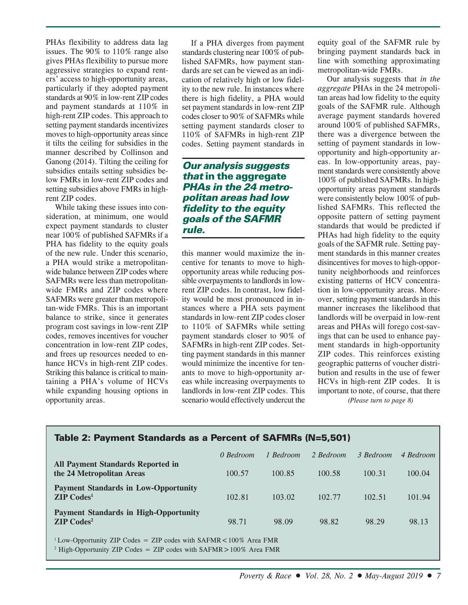PHAs flexibility to address data lag issues. The 90% to 110% range also gives PHAs flexibility to pursue more aggressive strategies to expand renters' access to high-opportunity areas, particularly if they adopted payment standards at 90% in low-rent ZIP codes and payment standards at 110% in high-rent ZIP codes. This approach to setting payment standards incentivizes moves to high-opportunity areas since it tilts the ceiling for subsidies in the manner described by Collinson and Ganong (2014). Tilting the ceiling for subsidies entails setting subsidies below FMRs in low-rent ZIP codes and setting subsidies above FMRs in highrent ZIP codes.

While taking these issues into consideration, at minimum, one would expect payment standards to cluster near 100% of published SAFMRs if a PHA has fidelity to the equity goals of the new rule. Under this scenario, a PHA would strike a metropolitanwide balance between ZIP codes where SAFMRs were less than metropolitanwide FMRs and ZIP codes where SAFMRs were greater than metropolitan-wide FMRs. This is an important balance to strike, since it generates program cost savings in low-rent ZIP codes, removes incentives for voucher concentration in low-rent ZIP codes, and frees up resources needed to enhance HCVs in high-rent ZIP codes. Striking this balance is critical to maintaining a PHA's volume of HCVs while expanding housing options in opportunity areas.

If a PHA diverges from payment standards clustering near 100% of published SAFMRs, how payment standards are set can be viewed as an indication of relatively high or low fidelity to the new rule. In instances where there is high fidelity, a PHA would set payment standards in low-rent ZIP codes closer to 90% of SAFMRs while setting payment standards closer to 110% of SAFMRs in high-rent ZIP codes. Setting payment standards in

#### **Our analysis suggests that in the aggregate PHAs in the 24 metropolitan areas had low fidelity to the equity goals of the SAFMR rule.**

this manner would maximize the incentive for tenants to move to highopportunity areas while reducing possible overpayments to landlords in lowrent ZIP codes. In contrast, low fidelity would be most pronounced in instances where a PHA sets payment standards in low-rent ZIP codes closer to 110% of SAFMRs while setting payment standards closer to 90% of SAFMRs in high-rent ZIP codes. Setting payment standards in this manner would minimize the incentive for tenants to move to high-opportunity areas while increasing overpayments to landlords in low-rent ZIP codes. This scenario would effectively undercut the

equity goal of the SAFMR rule by bringing payment standards back in line with something approximating metropolitan-wide FMRs.

*(Please turn to page 8)* Our analysis suggests that *in the aggregate* PHAs in the 24 metropolitan areas had low fidelity to the equity goals of the SAFMR rule. Although average payment standards hovered around 100% of published SAFMRs, there was a divergence between the setting of payment standards in lowopportunity and high-opportunity areas. In low-opportunity areas, payment standards were consistently above 100% of published SAFMRs. In highopportunity areas payment standards were consistently below 100% of published SAFMRs. This reflected the opposite pattern of setting payment standards that would be predicted if PHAs had high fidelity to the equity goals of the SAFMR rule. Setting payment standards in this manner creates disincentives for moves to high-opportunity neighborhoods and reinforces existing patterns of HCV concentration in low-opportunity areas. Moreover, setting payment standards in this manner increases the likelihood that landlords will be overpaid in low-rent areas and PHAs will forego cost-savings that can be used to enhance payment standards in high-opportunity ZIP codes. This reinforces existing geographic patterns of voucher distribution and results in the use of fewer HCVs in high-rent ZIP codes. It is important to note, of course, that there

## **Table 2: Payment Standards as a Percent of SAFMRs (N=5,501)** *0 Bedroom 1 Bedroom 2 Bedroom 3 Bedroom 4 Bedroom* **All Payment Standards Reported in the 24 Metropolitan Areas** 100.57 100.85 100.58 100.31 100.04 **Payment Standards in Low-Opportunity ZIP Codes<sup>1</sup>** 102.81 103.02 102.77 102.51 101.94 **Payment Standards in High-Opportunity ZIP Codes2** 98.71 98.09 98.82 98.29 98.13 <sup>1</sup> Low-Opportunity ZIP Codes = ZIP codes with  $SAFMR < 100\%$  Area FMR <sup>2</sup> High-Opportunity ZIP Codes = ZIP codes with  $SAFMR > 100\%$  Area FMR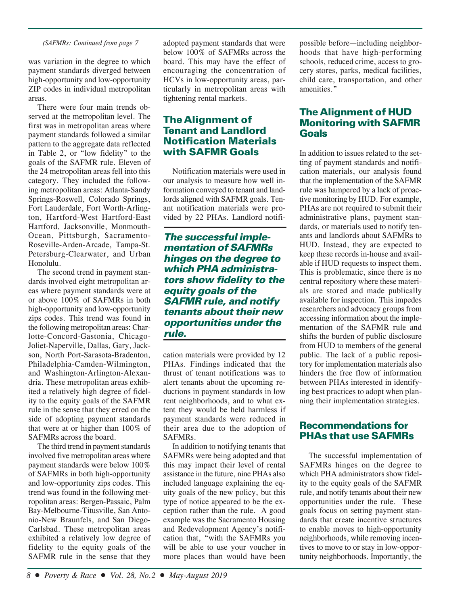#### *(SAFMRs: Continued from page 7*

was variation in the degree to which payment standards diverged between high-opportunity and low-opportunity ZIP codes in individual metropolitan areas.

There were four main trends observed at the metropolitan level. The first was in metropolitan areas where payment standards followed a similar pattern to the aggregate data reflected in Table 2, or "low fidelity" to the goals of the SAFMR rule. Eleven of the 24 metropolitan areas fell into this category. They included the following metropolitan areas: Atlanta-Sandy Springs-Roswell, Colorado Springs, Fort Lauderdale, Fort Worth-Arlington, Hartford-West Hartford-East Hartford, Jacksonville, Monmouth-Ocean, Pittsburgh, Sacramento-Roseville-Arden-Arcade, Tampa-St. Petersburg-Clearwater, and Urban Honolulu.

The second trend in payment standards involved eight metropolitan areas where payment standards were at or above 100% of SAFMRs in both high-opportunity and low-opportunity zips codes. This trend was found in the following metropolitan areas: Charlotte-Concord-Gastonia, Chicago-Joliet-Naperville, Dallas, Gary, Jackson, North Port-Sarasota-Bradenton, Philadelphia-Camden-Wilmington, and Washington-Arlington-Alexandria. These metropolitan areas exhibited a relatively high degree of fidelity to the equity goals of the SAFMR rule in the sense that they erred on the side of adopting payment standards that were at or higher than 100% of SAFMRs across the board.

The third trend in payment standards involved five metropolitan areas where payment standards were below 100% of SAFMRs in both high-opportunity and low-opportunity zips codes. This trend was found in the following metropolitan areas: Bergen-Passaic, Palm Bay-Melbourne-Titusville, San Antonio-New Braunfels, and San Diego-Carlsbad. These metropolitan areas exhibited a relatively low degree of fidelity to the equity goals of the SAFMR rule in the sense that they

adopted payment standards that were below 100% of SAFMRs across the board. This may have the effect of encouraging the concentration of HCVs in low-opportunity areas, particularly in metropolitan areas with tightening rental markets.

### **The Alignment of Tenant and Landlord Notification Materials with SAFMR Goals**

Notification materials were used in our analysis to measure how well information conveyed to tenant and landlords aligned with SAFMR goals. Tenant notification materials were provided by 22 PHAs. Landlord notifi-

**The successful implementation of SAFMRs hinges on the degree to which PHA administrators show fidelity to the equity goals of the SAFMR rule, and notify tenants about their new opportunities under the rule.**

cation materials were provided by 12 PHAs. Findings indicated that the thrust of tenant notifications was to alert tenants about the upcoming reductions in payment standards in low rent neighborhoods, and to what extent they would be held harmless if payment standards were reduced in their area due to the adoption of SAFMRs.

In addition to notifying tenants that SAFMRs were being adopted and that this may impact their level of rental assistance in the future, nine PHAs also included language explaining the equity goals of the new policy, but this type of notice appeared to be the exception rather than the rule. A good example was the Sacramento Housing and Redevelopment Agency's notification that, "with the SAFMRs you will be able to use your voucher in more places than would have been possible before—including neighborhoods that have high-performing schools, reduced crime, access to grocery stores, parks, medical facilities, child care, transportation, and other amenities."

### **The Alignment of HUD Monitoring with SAFMR Goals**

In addition to issues related to the setting of payment standards and notification materials, our analysis found that the implementation of the SAFMR rule was hampered by a lack of proactive monitoring by HUD. For example, PHAs are not required to submit their administrative plans, payment standards, or materials used to notify tenants and landlords about SAFMRs to HUD. Instead, they are expected to keep these records in-house and available if HUD requests to inspect them. This is problematic, since there is no central repository where these materials are stored and made publically available for inspection. This impedes researchers and advocacy groups from accessing information about the implementation of the SAFMR rule and shifts the burden of public disclosure from HUD to members of the general public. The lack of a public repository for implementation materials also hinders the free flow of information between PHAs interested in identifying best practices to adopt when planning their implementation strategies.

## **Recommendations for PHAs that use SAFMRs**

The successful implementation of SAFMRs hinges on the degree to which PHA administrators show fidelity to the equity goals of the SAFMR rule, and notify tenants about their new opportunities under the rule. These goals focus on setting payment standards that create incentive structures to enable moves to high-opportunity neighborhoods, while removing incentives to move to or stay in low-opportunity neighborhoods. Importantly, the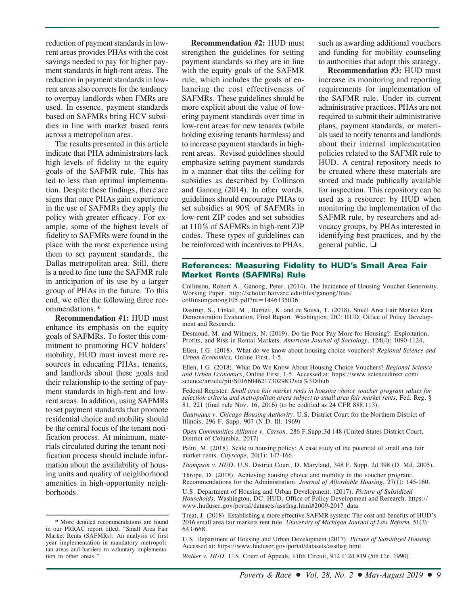reduction of payment standards in lowrent areas provides PHAs with the cost savings needed to pay for higher payment standards in high-rent areas. The reduction in payment standards in lowrent areas also corrects for the tendency to overpay landlords when FMRs are used. In essence, payment standards based on SAFMRs bring HCV subsidies in line with market based rents across a metropolitan area.

The results presented in this article indicate that PHA administrators lack high levels of fidelity to the equity goals of the SAFMR rule. This has led to less than optimal implementation. Despite these findings, there are signs that once PHAs gain experience in the use of SAFMRs they apply the policy with greater efficacy. For example, some of the highest levels of fidelity to SAFMRs were found in the place with the most experience using them to set payment standards, the Dallas metropolitan area. Still, there is a need to fine tune the SAFMR rule in anticipation of its use by a larger group of PHAs in the future. To this end, we offer the following three recommendations.\*

**Recommendation #1:** HUD must enhance its emphasis on the equity goals of SAFMRs. To foster this commitment to promoting HCV holders' mobility, HUD must invest more resources in educating PHAs, tenants, and landlords about these goals and their relationship to the setting of payment standards in high-rent and lowrent areas. In addition, using SAFMRs to set payment standards that promote residential choice and mobility should be the central focus of the tenant notification process. At minimum, materials circulated during the tenant notification process should include information about the availability of housing units and quality of neighborhood amenities in high-opportunity neighborhoods.

**Recommendation #2:** HUD must strengthen the guidelines for setting payment standards so they are in line with the equity goals of the SAFMR rule, which includes the goals of enhancing the cost effectiveness of SAFMRs. These guidelines should be more explicit about the value of lowering payment standards over time in low-rent areas for new tenants (while holding existing tenants harmless) and to increase payment standards in highrent areas. Revised guidelines should emphasize setting payment standards in a manner that tilts the ceiling for subsidies as described by Collinson and Ganong (2014). In other words, guidelines should encourage PHAs to set subsidies at 90% of SAFMRs in low-rent ZIP codes and set subsidies at 110% of SAFMRs in high-rent ZIP codes. These types of guidelines can be reinforced with incentives to PHAs, such as awarding additional vouchers and funding for mobility counseling to authorities that adopt this strategy.

**Recommendation #3:** HUD must increase its monitoring and reporting requirements for implementation of the SAFMR rule. Under its current administrative practices, PHAs are not required to submit their administrative plans, payment standards, or materials used to notify tenants and landlords about their internal implementation policies related to the SAFMR rule to HUD. A central repository needs to be created where these materials are stored and made publically available for inspection. This repository can be used as a resource: by HUD when monitoring the implementation of the SAFMR rule, by researchers and advocacy groups, by PHAs interested in identifying best practices, and by the general public. ❏

#### **References: Measuring Fidelity to HUD's Small Area Fair Market Rents (SAFMRs) Rule**

Collinson, Robert A., Ganong, Peter. (2014). The Incidence of Housing Voucher Generosity. Working Paper. http://scholar.harvard.edu/files/ganong/files/ collinsonganong $105$ .pdf?m=1446135036

Dastrup, S., Finkel, M., Burnett, K. and de Sousa, T. (2018). Small Area Fair Market Rent Demonstration Evaluation, Final Report. Washington, DC: HUD, Office of Policy Development and Research.

Desmond, M. and Wilmers, N. (2019). Do the Poor Pay More for Housing?: Exploitation, Profits, and Risk in Rental Markets. *American Journal of Sociology,* 124(4): 1090-1124.

Ellen, I.G. (2018). What do we know about housing choice vouchers? *Regional Science and Urban Economics,* Online First, 1-5.

Ellen, I.G. (2018). What Do We Know About Housing Choice Vouchers? *Regional Science and Urban Economics*, Online First, 1-5. Accessed at: https://www.sciencedirect.com/ science/article/pii/S0166046217302983?via%3Dihub

Federal Register. *Small area fair market rents in housing vhoice voucher program values for selection criteria and metropolitan areas subject to small area fair market rents*, Fed. Reg. § 81, 221 (final rule Nov. 16, 2016) (to be codified as 24 CFR 888.113).

*Gautreaux v. Chicago Housing Authority*. U.S. District Court for the Northern District of Illinois, 296 F. Supp. 907 (N.D. Ill. 1969)

*Open Communities Alliance v. Carson*, 286 F.Supp.3d 148 (United States District Court, District of Columbia, 2017)

Palm, M. (2018). Scale in housing policy: A case study of the potential of small area fair market rents. *Cityscape,* 20(1): 147-166.

*Thompson v. HUD*. U.S. District Court, D. Maryland, 348 F. Supp. 2d 398 (D. Md. 2005).

Thrope, D. (2018). Achieving housing choice and mobility in the voucher program: Recommendations for the Administration. *Journal of Affordable Housing*, 27(1): 145-160.

U.S. Department of Housing and Urban Development. (2017). *Picture of Subsidized Households.* Washington, DC: HUD, Office of Policy Development and Research. https:// www.huduser.gov/portal/datasets/assthsg.html#2009-2017\_data

Treat, J. (2018). Establishing a more effective SAFMR system: The cost and benefits of HUD's 2016 small area fair markets rent rule. *University of Michigan Journal of Law Reform,* 51(3): 643-668.

U.S. Department of Housing and Urban Development (2017). *Picture of Subsidized Housing.* Accessed at: https://www.huduser.gov/portal/datasets/assthsg.html .

*Walker v. HUD.* U.S. Court of Appeals, Fifth Circuit, 912 F.2d 819 (5th Cir. 1990).

<sup>\*</sup> More detailed recommendations are found in our PRRAC report titled, "Small Area Fair Market Rents (SAFMRs): An analysis of first year implementation in mandatory metropolitan areas and barriers to voluntary implementation in other areas.'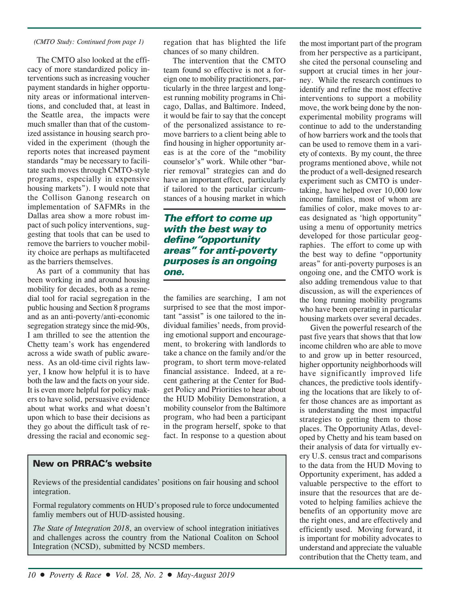#### *(CMTO Study: Continued from page 1)*

The CMTO also looked at the efficacy of more standardized policy interventions such as increasing voucher payment standards in higher opportunity areas or informational interventions, and concluded that, at least in the Seattle area, the impacts were much smaller than that of the customized assistance in housing search provided in the experiment (though the reports notes that increased payment standards "may be necessary to facilitate such moves through CMTO-style programs, especially in expensive housing markets"). I would note that the Collison Ganong research on implementation of SAFMRs in the Dallas area show a more robust impact of such policy interventions, suggesting that tools that can be used to remove the barriers to voucher mobility choice are perhaps as multifaceted as the barriers themselves.

As part of a community that has been working in and around housing mobility for decades, both as a remedial tool for racial segregation in the public housing and Section 8 programs and as an anti-poverty/anti-economic segregation strategy since the mid-90s, I am thrilled to see the attention the Chetty team's work has engendered across a wide swath of public awareness. As an old-time civil rights lawyer, I know how helpful it is to have both the law and the facts on your side. It is even more helpful for policy makers to have solid, persuasive evidence about what works and what doesn't upon which to base their decisions as they go about the difficult task of redressing the racial and economic segregation that has blighted the life chances of so many children.

The intervention that the CMTO team found so effective is not a foreign one to mobility practitioners, particularly in the three largest and longest running mobility programs in Chicago, Dallas, and Baltimore. Indeed, it would be fair to say that the concept of the personalized assistance to remove barriers to a client being able to find housing in higher opportunity areas is at the core of the "mobility counselor's" work. While other "barrier removal" strategies can and do have an important effect, particularly if tailored to the particular circumstances of a housing market in which

### **The effort to come up with the best way to define "opportunity areas" for anti-poverty purposes is an ongoing one.**

the families are searching, I am not surprised to see that the most important "assist" is one tailored to the individual families' needs, from providing emotional support and encouragement, to brokering with landlords to take a chance on the family and/or the program, to short term move-related financial assistance. Indeed, at a recent gathering at the Center for Budget Policy and Priorities to hear about the HUD Mobility Demonstration, a mobility counselor from the Baltimore program, who had been a participant in the program herself, spoke to that fact. In response to a question about

#### **New on PRRAC's website**

Reviews of the presidential candidates' positions on fair housing and school integration.

Formal regulatory comments on HUD's proposed rule to force undocumented famliy members out of HUD-assisted housing.

*The State of Integration 2018*, an overview of school integration initiatives and challenges across the country from the National Coaliton on School Integration (NCSD), submitted by NCSD members.

the most important part of the program from her perspective as a participant, she cited the personal counseling and support at crucial times in her journey. While the research continues to identify and refine the most effective interventions to support a mobility move, the work being done by the nonexperimental mobility programs will continue to add to the understanding of how barriers work and the tools that can be used to remove them in a variety of contexts. By my count, the three programs mentioned above, while not the product of a well-designed research experiment such as CMTO is undertaking, have helped over 10,000 low income families, most of whom are families of color, make moves to areas designated as 'high opportunity" using a menu of opportunity metrics developed for those particular geographies. The effort to come up with the best way to define "opportunity areas" for anti-poverty purposes is an ongoing one, and the CMTO work is also adding tremendous value to that discussion, as will the experiences of the long running mobility programs who have been operating in particular housing markets over several decades.

 Given the powerful research of the past five years that shows that that low income children who are able to move to and grow up in better resourced, higher opportunity neighborhoods will have significantly improved life chances, the predictive tools identifying the locations that are likely to offer those chances are as important as is understanding the most impactful strategies to getting them to those places. The Opportunity Atlas, developed by Chetty and his team based on their analysis of data for virtually every U.S. census tract and comparisons to the data from the HUD Moving to Opportunity experiment, has added a valuable perspective to the effort to insure that the resources that are devoted to helping families achieve the benefits of an opportunity move are the right ones, and are effectively and efficiently used. Moving forward, it is important for mobility advocates to understand and appreciate the valuable contribution that the Chetty team, and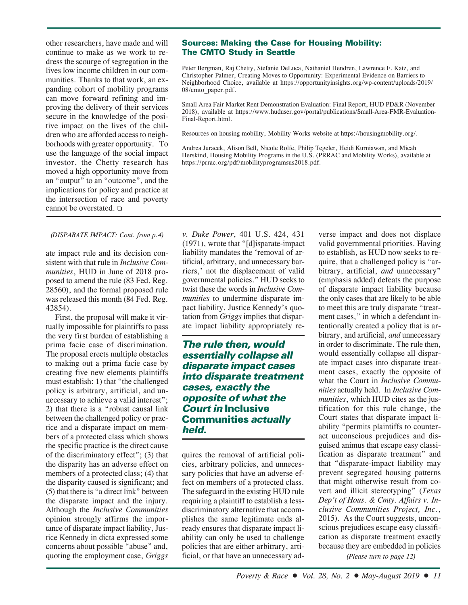other researchers, have made and will continue to make as we work to redress the scourge of segregation in the lives low income children in our communities. Thanks to that work, an expanding cohort of mobility programs can move forward refining and improving the delivery of their services secure in the knowledge of the positive impact on the lives of the children who are afforded access to neighborhoods with greater opportunity. To use the language of the social impact investor, the Chetty research has moved a high opportunity move from an "output" to an "outcome", and the implications for policy and practice at the intersection of race and poverty cannot be overstated. ❏

#### *(DISPARATE IMPACT: Cont. from p.4)*

ate impact rule and its decision consistent with that rule in *Inclusive Communities*, HUD in June of 2018 proposed to amend the rule (83 Fed. Reg. 28560), and the formal proposed rule was released this month (84 Fed. Reg. 42854).

First, the proposal will make it virtually impossible for plaintiffs to pass the very first burden of establishing a prima facie case of discrimination. The proposal erects multiple obstacles to making out a prima facie case by creating five new elements plaintiffs must establish: 1) that "the challenged policy is arbitrary, artificial, and unnecessary to achieve a valid interest"; 2) that there is a "robust causal link between the challenged policy or practice and a disparate impact on members of a protected class which shows the specific practice is the direct cause of the discriminatory effect"; (3) that the disparity has an adverse effect on members of a protected class; (4) that the disparity caused is significant; and (5) that there is "a direct link" between the disparate impact and the injury. Although the *Inclusive Communities* opinion strongly affirms the importance of disparate impact liability, Justice Kennedy in dicta expressed some concerns about possible "abuse" and, quoting the employment case, *Griggs*

*v. Duke Power*, 401 U.S. 424, 431 (1971), wrote that "[d]isparate-impact liability mandates the 'removal of artificial, arbitrary, and unnecessary barriers,' not the displacement of valid governmental policies." HUD seeks to twist these the words in *Inclusive Communities* to undermine disparate impact liability. Justice Kennedy's quotation from *Griggs* implies that disparate impact liability appropriately re-

**The rule then, would essentially collapse all disparate impact cases into disparate treatment cases, exactly the opposite of what the Court in Inclusive Communities actually held.**

quires the removal of artificial policies, arbitrary policies, and unnecessary policies that have an adverse effect on members of a protected class. The safeguard in the existing HUD rule requiring a plaintiff to establish a lessdiscriminatory alternative that accomplishes the same legitimate ends already ensures that disparate impact liability can only be used to challenge policies that are either arbitrary, artificial, or that have an unnecessary adverse impact and does not displace valid governmental priorities. Having to establish, as HUD now seeks to require, that a challenged policy is "arbitrary, artificial, *and* unnecessary" (emphasis added) defeats the purpose of disparate impact liability because the only cases that are likely to be able to meet this are truly disparate "treatment cases," in which a defendant intentionally created a policy that is arbitrary, and artificial, *and* unnecessary in order to discriminate. The rule then, would essentially collapse all disparate impact cases into disparate treatment cases, exactly the opposite of what the Court in *Inclusive Communities* actually held. In *Inclusive Communities*, which HUD cites as the justification for this rule change, the Court states that disparate impact liability "permits plaintiffs to counteract unconscious prejudices and disguised animus that escape easy classification as disparate treatment" and that "disparate-impact liability may prevent segregated housing patterns that might otherwise result from covert and illicit stereotyping" (*Texas Dep't of Hous. & Cmty. Affairs v. Inclusive Communities Project, Inc.*, 2015). As the Court suggests, unconscious prejudices escape easy classification as disparate treatment exactly because they are embedded in policies

*(Please turn to page 12)*

#### **Sources: Making the Case for Housing Mobility: The CMTO Study in Seattle**

Peter Bergman, Raj Chetty, Stefanie DeLuca, Nathaniel Hendren, Lawrence F. Katz, and Christopher Palmer, Creating Moves to Opportunity: Experimental Evidence on Barriers to Neighborhood Choice, available at https://opportunityinsights.org/wp-content/uploads/2019/ 08/cmto\_paper.pdf.

Small Area Fair Market Rent Demonstration Evaluation: Final Report, HUD PD&R (November 2018), available at https://www.huduser.gov/portal/publications/Small-Area-FMR-Evaluation-Final-Report.html.

Resources on housing mobility, Mobility Works website at https://housingmobility.org/.

Andrea Juracek, Alison Bell, Nicole Rolfe, Philip Tegeler, Heidi Kurniawan, and Micah Herskind, Housing Mobility Programs in the U.S. (PRRAC and Mobility Works), available at https://prrac.org/pdf/mobilityprogramsus2018.pdf.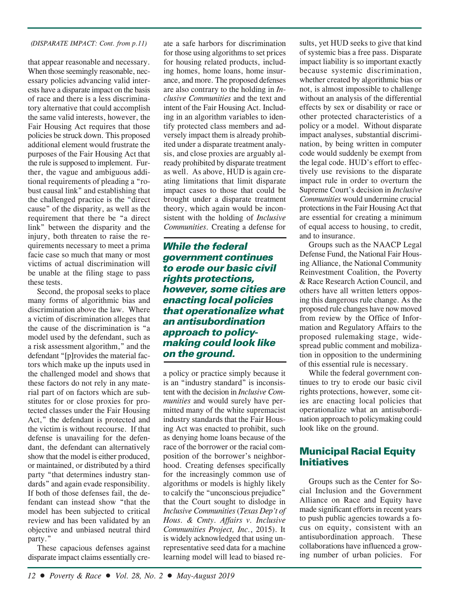#### *(DISPARATE IMPACT: Cont. from p.11)*

that appear reasonable and necessary. When those seemingly reasonable, necessary policies advancing valid interests have a disparate impact on the basis of race and there is a less discriminatory alternative that could accomplish the same valid interests, however, the Fair Housing Act requires that those policies be struck down. This proposed additional element would frustrate the purposes of the Fair Housing Act that the rule is supposed to implement. Further, the vague and ambiguous additional requirements of pleading a "robust causal link" and establishing that the challenged practice is the "direct cause" of the disparity, as well as the requirement that there be "a direct link" between the disparity and the injury, both threaten to raise the requirements necessary to meet a prima facie case so much that many or most victims of actual discrimination will be unable at the filing stage to pass these tests.

Second, the proposal seeks to place many forms of algorithmic bias and discrimination above the law. Where a victim of discrimination alleges that the cause of the discrimination is "a model used by the defendant, such as a risk assessment algorithm," and the defendant "[p]rovides the material factors which make up the inputs used in the challenged model and shows that these factors do not rely in any material part of on factors which are substitutes for or close proxies for protected classes under the Fair Housing Act," the defendant is protected and the victim is without recourse. If that defense is unavailing for the defendant, the defendant can alternatively show that the model is either produced, or maintained, or distributed by a third party "that determines industry standards" and again evade responsibility. If both of those defenses fail, the defendant can instead show "that the model has been subjected to critical review and has been validated by an objective and unbiased neutral third party."

These capacious defenses against disparate impact claims essentially create a safe harbors for discrimination for those using algorithms to set prices for housing related products, including homes, home loans, home insurance, and more. The proposed defenses are also contrary to the holding in *Inclusive Communities* and the text and intent of the Fair Housing Act. Including in an algorithm variables to identify protected class members and adversely impact them is already prohibited under a disparate treatment analysis, and close proxies are arguably already prohibited by disparate treatment as well. As above, HUD is again creating limitations that limit disparate impact cases to those that could be brought under a disparate treatment theory, which again would be inconsistent with the holding of *Inclusive Communities.* Creating a defense for

**While the federal government continues to erode our basic civil rights protections, however, some cities are enacting local policies that operationalize what an antisubordination approach to policymaking could look like on the ground.**

a policy or practice simply because it is an "industry standard" is inconsistent with the decision in *Inclusive Communities* and would surely have permitted many of the white supremacist industry standards that the Fair Housing Act was enacted to prohibit, such as denying home loans because of the race of the borrower or the racial composition of the borrower's neighborhood. Creating defenses specifically for the increasingly common use of algorithms or models is highly likely to calcify the "unconscious prejudice" that the Court sought to dislodge in *Inclusive Communities* (*Texas Dep't of Hous. & Cmty. Affairs v. Inclusive Communities Project, Inc.*, 2015). It is widely acknowledged that using unrepresentative seed data for a machine learning model will lead to biased results, yet HUD seeks to give that kind of systemic bias a free pass. Disparate impact liability is so important exactly because systemic discrimination, whether created by algorithmic bias or not, is almost impossible to challenge without an analysis of the differential effects by sex or disability or race or other protected characteristics of a policy or a model. Without disparate impact analyses, substantial discrimination, by being written in computer code would suddenly be exempt from the legal code. HUD's effort to effectively use revisions to the disparate impact rule in order to overturn the Supreme Court's decision in *Inclusive Communities* would undermine crucial protections in the Fair Housing Act that are essential for creating a minimum of equal access to housing, to credit, and to insurance.

Groups such as the NAACP Legal Defense Fund, the National Fair Housing Alliance, the National Community Reinvestment Coalition, the Poverty & Race Research Action Council, and others have all written letters opposing this dangerous rule change. As the proposed rule changes have now moved from review by the Office of Information and Regulatory Affairs to the proposed rulemaking stage, widespread public comment and mobilization in opposition to the undermining of this essential rule is necessary.

While the federal government continues to try to erode our basic civil rights protections, however, some cities are enacting local policies that operationalize what an antisubordination approach to policymaking could look like on the ground.

#### **Municipal Racial Equity Initiatives**

Groups such as the Center for Social Inclusion and the Government Alliance on Race and Equity have made significant efforts in recent years to push public agencies towards a focus on equity, consistent with an antisubordination approach. These collaborations have influenced a growing number of urban policies. For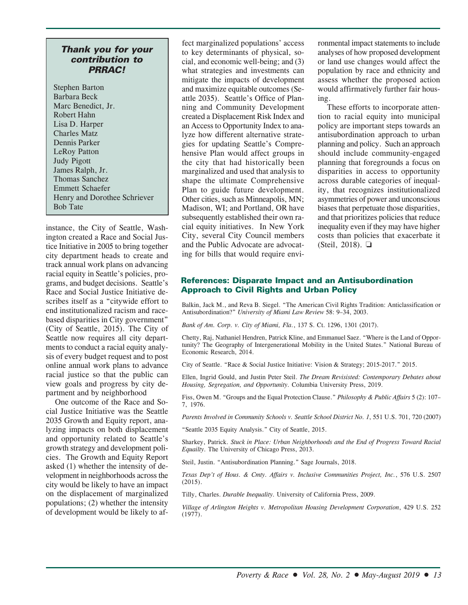#### **Thank you for your contribution to PRRAC!**

Stephen Barton Barbara Beck Marc Benedict, Jr. Robert Hahn Lisa D. Harper Charles Matz Dennis Parker LeRoy Patton Judy Pigott James Ralph, Jr. Thomas Sanchez Emmett Schaefer Henry and Dorothee Schriever Bob Tate

instance, the City of Seattle, Washington created a Race and Social Justice Initiative in 2005 to bring together city department heads to create and track annual work plans on advancing racial equity in Seattle's policies, programs, and budget decisions. Seattle's Race and Social Justice Initiative describes itself as a "citywide effort to end institutionalized racism and racebased disparities in City government" (City of Seattle, 2015). The City of Seattle now requires all city departments to conduct a racial equity analysis of every budget request and to post online annual work plans to advance racial justice so that the public can view goals and progress by city department and by neighborhood

One outcome of the Race and Social Justice Initiative was the Seattle 2035 Growth and Equity report, analyzing impacts on both displacement and opportunity related to Seattle's growth strategy and development policies. The Growth and Equity Report asked (1) whether the intensity of development in neighborhoods across the city would be likely to have an impact on the displacement of marginalized populations; (2) whether the intensity of development would be likely to affect marginalized populations' access to key determinants of physical, social, and economic well-being; and (3) what strategies and investments can mitigate the impacts of development and maximize equitable outcomes (Seattle 2035). Seattle's Office of Planning and Community Development created a Displacement Risk Index and an Access to Opportunity Index to analyze how different alternative strategies for updating Seattle's Comprehensive Plan would affect groups in the city that had historically been marginalized and used that analysis to shape the ultimate Comprehensive Plan to guide future development. Other cities, such as Minneapolis, MN; Madison, WI; and Portland, OR have subsequently established their own racial equity initiatives. In New York City, several City Council members and the Public Advocate are advocating for bills that would require envi-

ronmental impact statements to include analyses of how proposed development or land use changes would affect the population by race and ethnicity and assess whether the proposed action would affirmatively further fair housing.

These efforts to incorporate attention to racial equity into municipal policy are important steps towards an antisubordination approach to urban planning and policy. Such an approach should include community-engaged planning that foregrounds a focus on disparities in access to opportunity across durable categories of inequality, that recognizes institutionalized asymmetries of power and unconscious biases that perpetuate those disparities, and that prioritizes policies that reduce inequality even if they may have higher costs than policies that exacerbate it (Steil, 2018). ❏

#### **References: Disparate Impact and an Antisubordination Approach to Civil Rights and Urban Policy**

Balkin, Jack M., and Reva B. Siegel. "The American Civil Rights Tradition: Anticlassification or Antisubordination?" *University of Miami Law Review* 58: 9–34, 2003.

*Bank of Am. Corp. v. City of Miami, Fla.*, 137 S. Ct. 1296, 1301 (2017).

Chetty, Raj, Nathaniel Hendren, Patrick Kline, and Emmanuel Saez. "Where is the Land of Opportunity? The Geography of Intergenerational Mobility in the United States." National Bureau of Economic Research, 2014.

City of Seattle. "Race & Social Justice Initiative: Vision & Strategy; 2015-2017." 2015.

Ellen, Ingrid Gould, and Justin Peter Steil. *The Dream Revisisted: Contemporary Debates about Housing, Segregation, and Opportunity.* Columbia University Press, 2019.

Fiss, Owen M. "Groups and the Equal Protection Clause." *Philosophy & Public Affairs* 5 (2): 107– 7, 1976.

*Parents Involved in Community Schools v. Seattle School District No. 1*, 551 U.S. 701, 720 (2007)

"Seattle 2035 Equity Analysis." City of Seattle, 2015.

Sharkey, Patrick. *Stuck in Place: Urban Neighborhoods and the End of Progress Toward Racial Equailty.* The University of Chicago Press, 2013.

Steil, Justin. "Antisubordination Planning." Sage Journals, 2018.

*Texas Dep't of Hous. & Cmty. Affairs v. Inclusive Communities Project, Inc.*, 576 U.S. 2507 (2015).

Tilly, Charles. *Durable Inequality.* University of California Press, 2009.

*Village of Arlington Heights v. Metropolitan Housing Development Corporation*, 429 U.S. 252 (1977).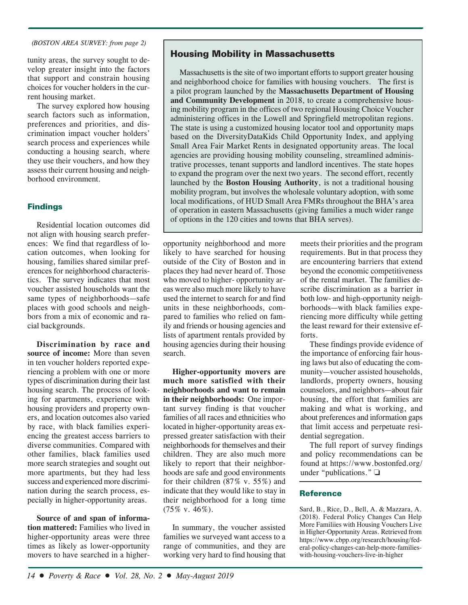#### *(BOSTON AREA SURVEY: from page 2)*

tunity areas, the survey sought to develop greater insight into the factors that support and constrain housing choices for voucher holders in the current housing market.

The survey explored how housing search factors such as information, preferences and priorities, and discrimination impact voucher holders' search process and experiences while conducting a housing search, where they use their vouchers, and how they assess their current housing and neighborhood environment.

#### **Findings**

Residential location outcomes did not align with housing search preferences: We find that regardless of location outcomes, when looking for housing, families shared similar preferences for neighborhood characteristics. The survey indicates that most voucher assisted households want the same types of neighborhoods—safe places with good schools and neighbors from a mix of economic and racial backgrounds.

**Discrimination by race and source of income:** More than seven in ten voucher holders reported experiencing a problem with one or more types of discrimination during their last housing search. The process of looking for apartments, experience with housing providers and property owners, and location outcomes also varied by race, with black families experiencing the greatest access barriers to diverse communities. Compared with other families, black families used more search strategies and sought out more apartments, but they had less success and experienced more discrimination during the search process, especially in higher-opportunity areas.

**Source of and span of information mattered:** Families who lived in higher-opportunity areas were three times as likely as lower-opportunity movers to have searched in a higher-

#### **Housing Mobility in Massachusetts**

Massachusetts is the site of two important efforts to support greater housing and neighborhood choice for families with housing vouchers. The first is a pilot program launched by the **Massachusetts Department of Housing and Community Development** in 2018, to create a comprehensive housing mobility program in the offices of two regional Housing Choice Voucher administering offices in the Lowell and Springfield metropolitan regions. The state is using a customized housing locator tool and opportunity maps based on the DiversityDataKids Child Opportunity Index, and applying Small Area Fair Market Rents in designated opportunity areas. The local agencies are providing housing mobility counseling, streamlined administrative processes, tenant supports and landlord incentives. The state hopes to expand the program over the next two years. The second effort, recently launched by the **Boston Housing Authority**, is not a traditional housing mobility program, but involves the wholesale voluntary adoption, with some local modifications, of HUD Small Area FMRs throughout the BHA's area of operation in eastern Massachusetts (giving families a much wider range of options in the 120 cities and towns that BHA serves).

opportunity neighborhood and more likely to have searched for housing outside of the City of Boston and in places they had never heard of. Those who moved to higher- opportunity areas were also much more likely to have used the internet to search for and find units in these neighborhoods, compared to families who relied on family and friends or housing agencies and lists of apartment rentals provided by housing agencies during their housing search.

**Higher-opportunity movers are much more satisfied with their neighborhoods and want to remain in their neighborhoods:** One important survey finding is that voucher families of all races and ethnicities who located in higher-opportunity areas expressed greater satisfaction with their neighborhoods for themselves and their children. They are also much more likely to report that their neighborhoods are safe and good environments for their children (87% v. 55%) and indicate that they would like to stay in their neighborhood for a long time (75% v. 46%).

In summary, the voucher assisted families we surveyed want access to a range of communities, and they are working very hard to find housing that meets their priorities and the program requirements. But in that process they are encountering barriers that extend beyond the economic competitiveness of the rental market. The families describe discrimination as a barrier in both low- and high-opportunity neighborhoods—with black families experiencing more difficulty while getting the least reward for their extensive efforts.

These findings provide evidence of the importance of enforcing fair housing laws but also of educating the community—voucher assisted households, landlords, property owners, housing counselors, and neighbors—about fair housing, the effort that families are making and what is working, and about preferences and information gaps that limit access and perpetuate residential segregation.

The full report of survey findings and policy recommendations can be found at https://www.bostonfed.org/ under "publications." ❏

#### **Reference**

Sard, B., Rice, D., Bell, A. & Mazzara, A. (2018). Federal Policy Changes Can Help More Familiies with Housing Vouchers Live in Higher-Opportunity Areas. Retrieved from https://www.cbpp.org/research/housing/federal-policy-changes-can-help-more-familieswith-housing-vouchers-live-in-higher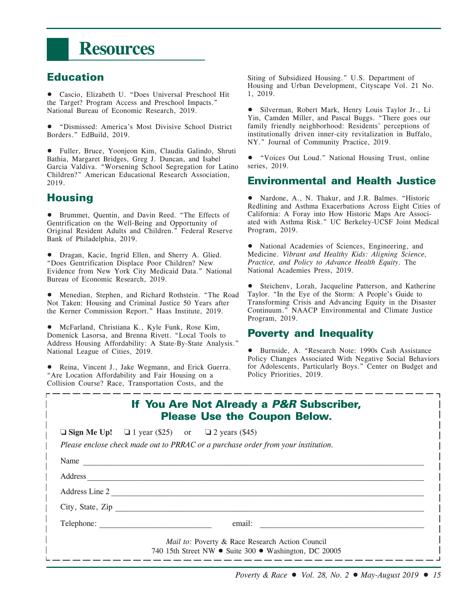## **Resources**

## **Education**

• Cascio, Elizabeth U. "Does Universal Preschool Hit the Target? Program Access and Preschool Impacts." National Bureau of Economic Research, 2019.

• "Dismissed: America's Most Divisive School District Borders." EdBuild, 2019.

• Fuller, Bruce, Yoonjeon Kim, Claudia Galindo, Shruti Bathia, Margaret Bridges, Greg J. Duncan, and Isabel Garcia Valdiva. "Worsening School Segregation for Latino Children?" American Educational Research Association, 2019.

## **Housing**

Brummet, Quentin, and Davin Reed. "The Effects of Gentrification on the Well-Being and Opportunity of Original Resident Adults and Children." Federal Reserve Bank of Philadelphia, 2019.

• Dragan, Kacie, Ingrid Ellen, and Sherry A. Glied. "Does Gentrification Displace Poor Children? New Evidence from New York City Medicaid Data." National Bureau of Economic Research, 2019.

• Menedian, Stephen, and Richard Rothstein. "The Road Not Taken: Housing and Criminal Justice 50 Years after the Kerner Commission Report." Haas Institute, 2019.

• McFarland, Christiana K., Kyle Funk, Rose Kim, Domenick Lasorsa, and Brenna Rivett. "Local Tools to Address Housing Affordability: A State-By-State Analysis." National League of Cities, 2019.

• Reina, Vincent J., Jake Wegmann, and Erick Guerra. "Are Location Affordability and Fair Housing on a Collision Course? Race, Transportation Costs, and the

Siting of Subsidized Housing." U.S. Department of Housing and Urban Development, Cityscape Vol. 21 No. 1, 2019.

• Silverman, Robert Mark, Henry Louis Taylor Jr., Li Yin, Camden Miller, and Pascal Buggs. "There goes our family friendly neighborhood: Residents' perceptions of institutionally driven inner-city revitalization in Buffalo, NY." Journal of Community Practice, 2019.

• "Voices Out Loud." National Housing Trust, online series, 2019.

## **Environmental and Health Justice**

• Nardone, A., N. Thakur, and J.R. Balmes. "Historic Redlining and Asthma Exacerbations Across Eight Cities of California: A Foray into How Historic Maps Are Associated with Asthma Risk." UC Berkeley-UCSF Joint Medical Program, 2019.

• National Academies of Sciences, Engineering, and Medicine. *Vibrant and Healthy Kids: Aligning Science, Practice, and Policy to Advance Health Equity.* The National Academies Press, 2019.

• Steichenv, Lorah, Jacqueline Patterson, and Katherine Taylor. "In the Eye of the Storm: A People's Guide to Transforming Crisis and Advancing Equity in the Disaster Continuum." NAACP Environmental and Climate Justice Program, 2019.

## **Poverty and Inequality**

• Burnside, A. "Research Note: 1990s Cash Assistance Policy Changes Associated With Negative Social Behaviors for Adolescents, Particularly Boys." Center on Budget and Policy Priorities, 2019.

## **If You Are Not Already a P&R Subscriber, Please Use the Coupon Below.**

| Name             |        |  |
|------------------|--------|--|
| Address          |        |  |
| Address Line 2   |        |  |
| City, State, Zip |        |  |
| Telephone:       | email: |  |